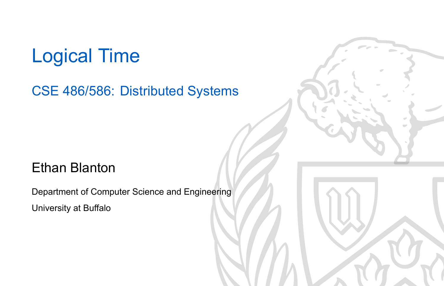### Logical Time

CSE 486/586: Distributed Systems

#### Ethan Blanton

Department of Computer Science and Engineering University at Buffalo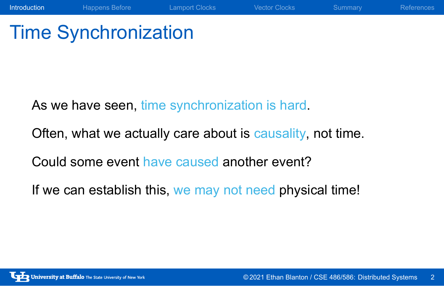## Time Synchronization

As we have seen, time synchronization is hard. Often, what we actually care about is causality, not time. Could some event have caused another event? If we can establish this, we may not need physical time!

Introduction Happens Before Lamport Clocks Vector Clocks Summary References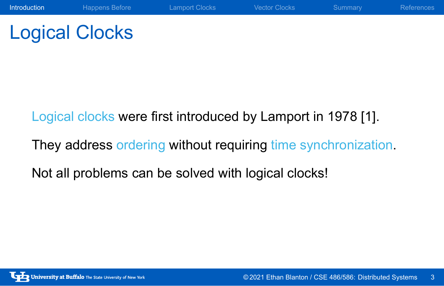# Logical Clocks

Logical clocks were first introduced by Lamport in 1978 [1].

They address ordering without requiring time synchronization.

Introduction Happens Before Lamport Clocks Vector Clocks Summary References

Not all problems can be solved with logical clocks!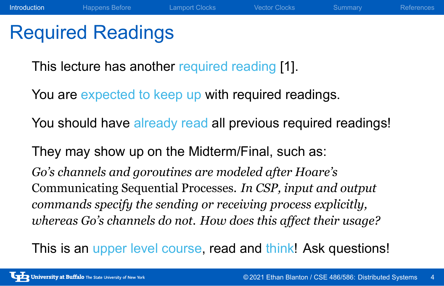### Required Readings

This lecture has another required reading [1].

You are expected to keep up with required readings.

You should have already read all previous required readings!

Introduction Happens Before Lamport Clocks Vector Clocks Summary References

They may show up on the Midterm/Final, such as:

*Go's channels and goroutines are modeled after Hoare's* Communicating Sequential Processes*. In CSP, input and output commands specify the sending or receiving process explicitly, whereas Go's channels do not. How does this affect their usage?*

This is an upper level course, read and think! Ask questions!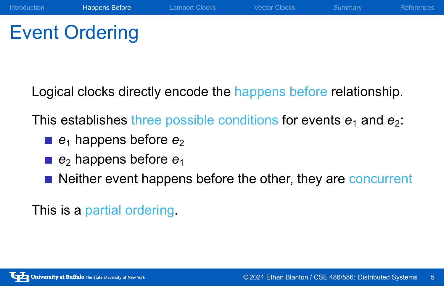# Event Ordering

Logical clocks directly encode the happens before relationship.

Introduction Happens Before Lamport Clocks Vector Clocks Summary References

This establishes three possible conditions for events  $e_1$  and  $e_2$ :

- **e**<sub>1</sub> happens before  $e_2$
- *e*<sup>2</sup> happens before *e*<sup>1</sup>
- Neither event happens before the other, they are concurrent

This is a partial ordering.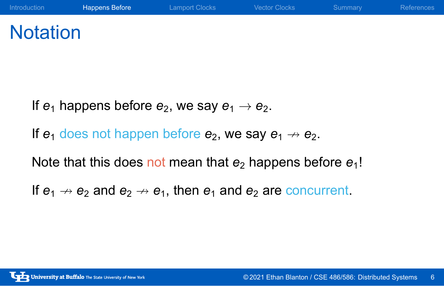### **Notation**

If  $e_1$  happens before  $e_2$ , we say  $e_1 \rightarrow e_2$ .

If  $e_1$  does not happen before  $e_2$ , we say  $e_1 \nrightarrow e_2$ .

Note that this does not mean that  $e_2$  happens before  $e_1!$ 

If  $e_1 \nrightarrow e_2$  and  $e_2 \nrightarrow e_1$ , then  $e_1$  and  $e_2$  are concurrent.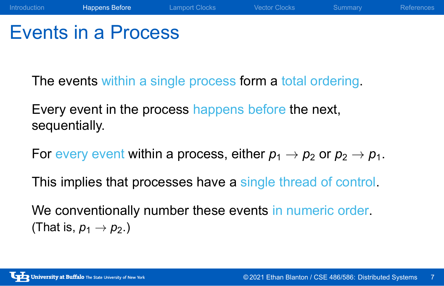### Events in a Process

The events within a single process form a total ordering.

Introduction Happens Before Lamport Clocks Vector Clocks Summary References

Every event in the process happens before the next, sequentially.

For every event within a process, either  $p_1 \rightarrow p_2$  or  $p_2 \rightarrow p_1$ .

This implies that processes have a single thread of control.

We conventionally number these events in numeric order. (That is,  $p_1 \rightarrow p_2$ .)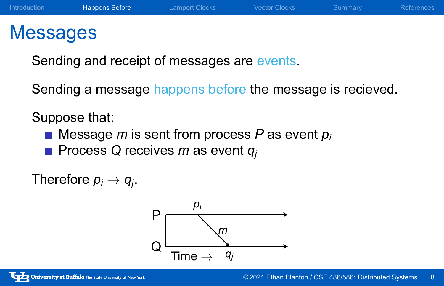### Messages

Sending and receipt of messages are events.

Sending a message happens before the message is recieved.

Suppose that:

- Message *m* is sent from process *P* as event  $p_i$
- Process *Q* receives *m* as event *q<sub>j</sub>*

Therefore  $p_i \rightarrow q_j$ .

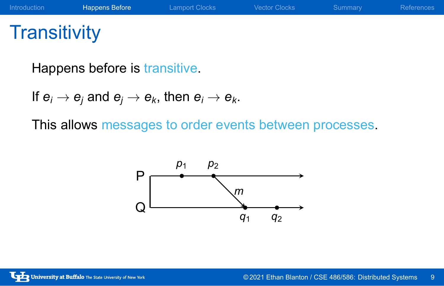# **Transitivity**

Happens before is transitive.

If  $e_i \rightarrow e_j$  and  $e_j \rightarrow e_k$ , then  $e_i \rightarrow e_k$ .

This allows messages to order events between processes.

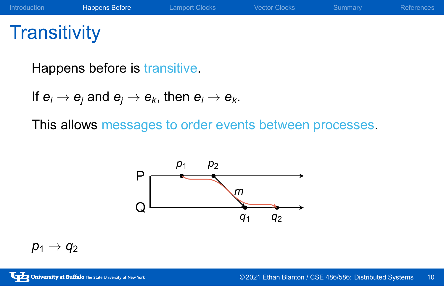# **Transitivity**

Happens before is transitive.

If  $e_i \rightarrow e_j$  and  $e_j \rightarrow e_k$ , then  $e_i \rightarrow e_k$ .

This allows messages to order events between processes.



 $p_1 \rightarrow q_2$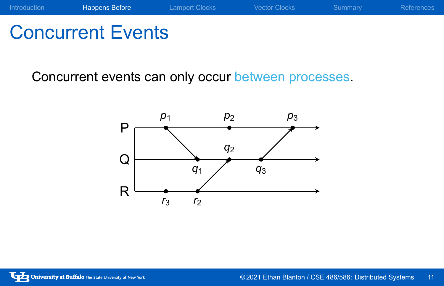## Concurrent Events

Concurrent events can only occur between processes.

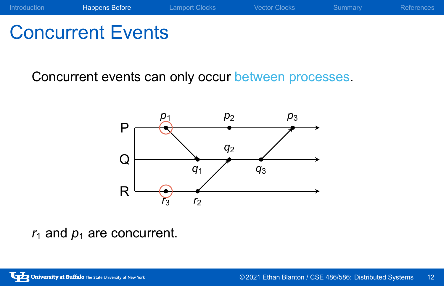## Concurrent Events

Concurrent events can only occur between processes.



 $r_1$  and  $p_1$  are concurrent.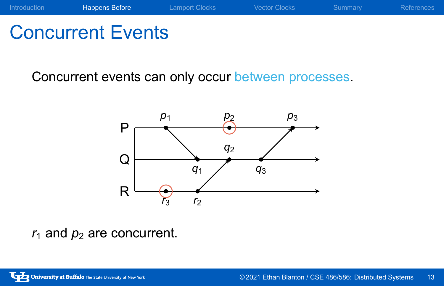# Concurrent Events

Concurrent events can only occur between processes.



 $r_1$  and  $p_2$  are concurrent.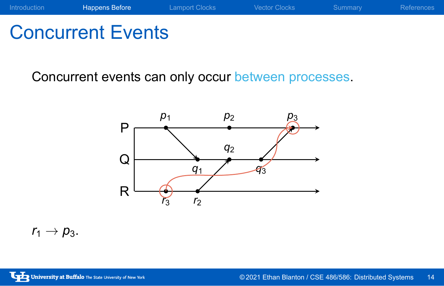## Concurrent Events

Concurrent events can only occur between processes.



 $r_1 \rightarrow p_3$ .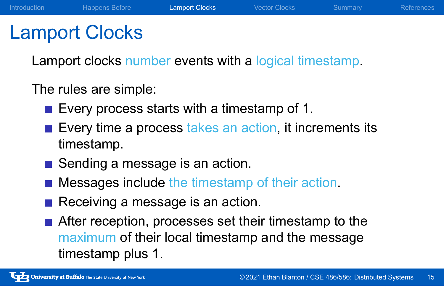### Lamport Clocks

Lamport clocks number events with a logical timestamp.

The rules are simple:

- Every process starts with a timestamp of 1.
- Every time a process takes an action, it increments its timestamp.
- Sending a message is an action.
- **Messages include the timestamp of their action.**
- Receiving a message is an action.
- After reception, processes set their timestamp to the maximum of their local timestamp and the message timestamp plus 1.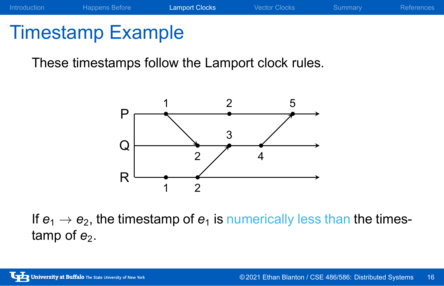## Timestamp Example

These timestamps follow the Lamport clock rules.



If  $e_1 \rightarrow e_2$ , the timestamp of  $e_1$  is numerically less than the timestamp of  $e_2$ .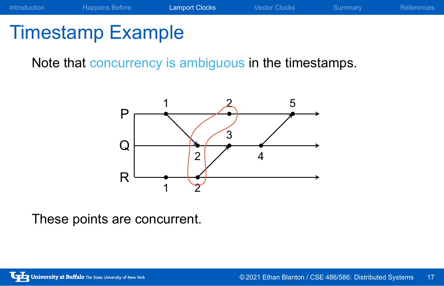

# Timestamp Example

Note that concurrency is ambiguous in the timestamps.



These points are concurrent.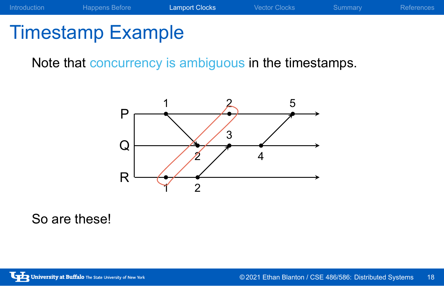

# Timestamp Example

Note that concurrency is ambiguous in the timestamps.



So are these!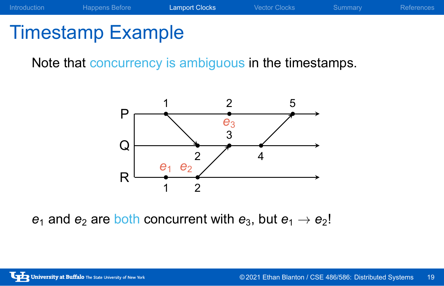## Timestamp Example

Note that concurrency is ambiguous in the timestamps.



 $e_1$  and  $e_2$  are both concurrent with  $e_3$ , but  $e_1 \rightarrow e_2!$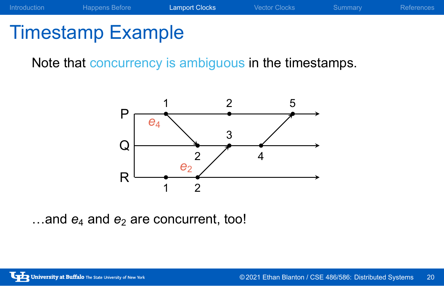# Timestamp Example

Note that concurrency is ambiguous in the timestamps.



…and  $e_4$  and  $e_2$  are concurrent, too!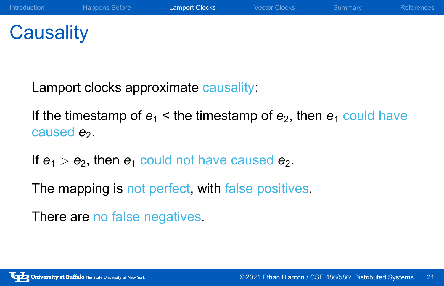**Causality** 

Lamport clocks approximate causality:

If the timestamp of  $e_1$  < the timestamp of  $e_2$ , then  $e_1$  could have caused  $e_2$ .

If  $e_1 > e_2$ , then  $e_1$  could not have caused  $e_2$ .

The mapping is not perfect, with false positives.

There are no false negatives.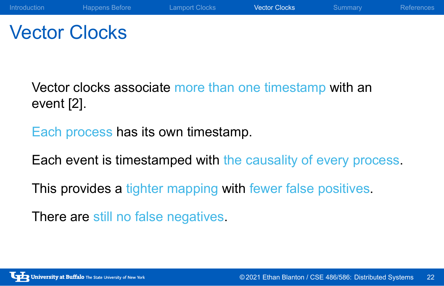### Vector Clocks

Vector clocks associate more than one timestamp with an event [2].

Each process has its own timestamp.

Each event is timestamped with the causality of every process.

This provides a tighter mapping with fewer false positives.

There are still no false negatives.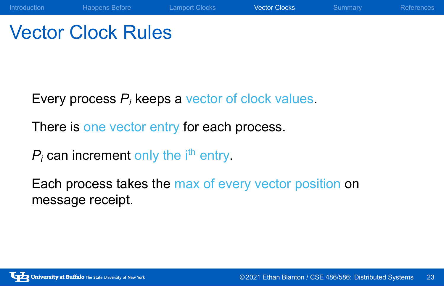### Vector Clock Rules

Every process *P<sup>i</sup>* keeps a vector of clock values.

There is one vector entry for each process.

 $P_i$  can increment only the  $i<sup>th</sup>$  entry.

Each process takes the max of every vector position on message receipt.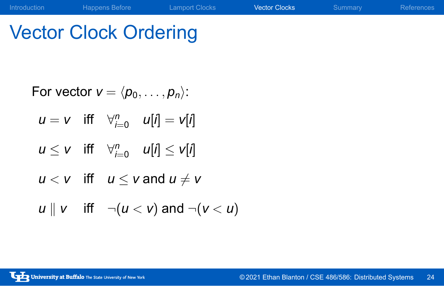# Vector Clock Ordering

For vector 
$$
v = \langle p_0, \ldots, p_n \rangle
$$
:  
\n $u = v$  iff  $\forall_{i=0}^n$   $u[i] = v[i]$   
\n $u \le v$  iff  $\forall_{i=0}^n$   $u[i] \le v[i]$   
\n $u < v$  iff  $u \le v$  and  $u \ne v$   
\n $u \parallel v$  iff  $\neg(u < v)$  and  $\neg(v < u)$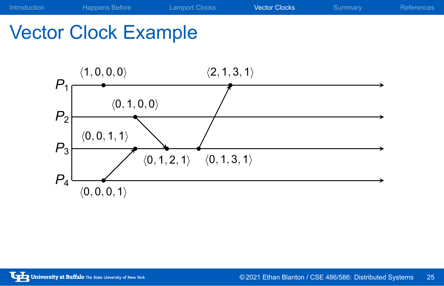

Vector Clock Example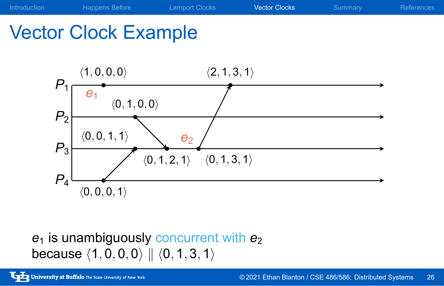

### $e_1$  is unambiguously concurrent with  $e_2$ because *⟨*1*,* 0*,* 0*,* 0*⟩ ∥ ⟨*0*,* 1*,* 3*,* 1*⟩*

Vector Clock Example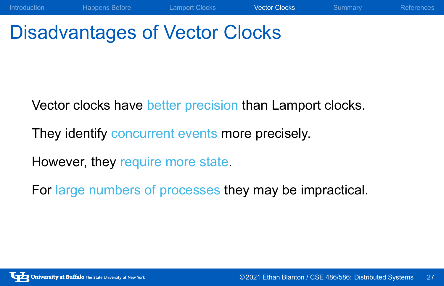## Disadvantages of Vector Clocks

Vector clocks have better precision than Lamport clocks.

Introduction Happens Before Lamport Clocks Vector Clocks Summary References

They identify concurrent events more precisely.

However, they require more state.

For large numbers of processes they may be impractical.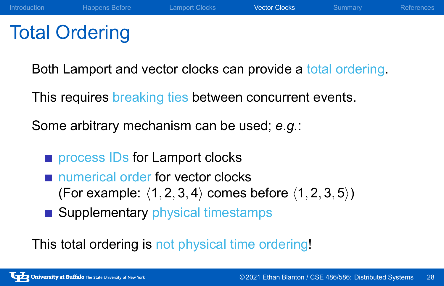### Total Ordering

Both Lamport and vector clocks can provide a total ordering.

This requires breaking ties between concurrent events.

Some arbitrary mechanism can be used; *e.g.*:

- process IDs for Lamport clocks
- numerical order for vector clocks (For example: *⟨*1*,* 2*,* 3*,* 4*⟩* comes before *⟨*1*,* 2*,* 3*,* 5*⟩*)
- Supplementary physical timestamps

This total ordering is not physical time ordering!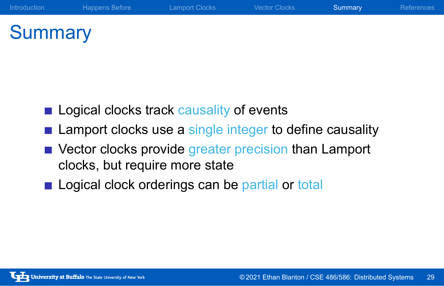### **Summary**

- Logical clocks track causality of events
- **E** Lamport clocks use a single integer to define causality

Introduction Happens Before Lamport Clocks Vector Clocks Summary References

- Vector clocks provide greater precision than Lamport clocks, but require more state
- Logical clock orderings can be partial or total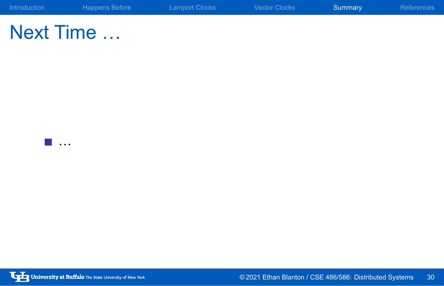| Introduction | Happens Before | <b>Lamport Clocks</b> | <b>Vector Clocks</b> | Summary | References |
|--------------|----------------|-----------------------|----------------------|---------|------------|
|              |                |                       |                      |         |            |

# Next Time …

…

University at Buffalo The State University of New York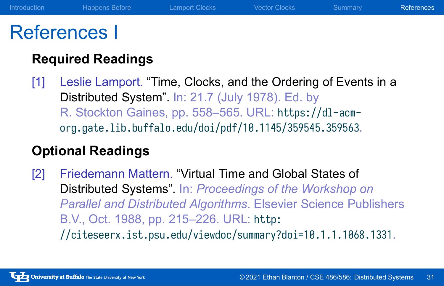### References I

### **Required Readings**

[1] Leslie Lamport. "Time, Clocks, and the Ordering of Events in a Distributed System". In: 21.7 (July 1978). Ed. by R. Stockton Gaines, pp. 558–565. URL: https://dl-acmorg.gate.lib.buffalo.edu/doi/pdf/10.1145/359545.359563.

#### **Optional Readings**

[2] Friedemann Mattern. "Virtual Time and Global States of Distributed Systems". In: *Proceedings of the Workshop on Parallel and Distributed Algorithms*. Elsevier Science Publishers B.V., Oct. 1988, pp. 215–226. URL: http: //citeseerx.ist.psu.edu/viewdoc/summary?doi=10.1.1.1068.1331.